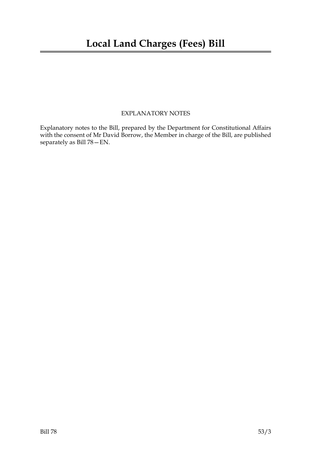### EXPLANATORY NOTES

Explanatory notes to the Bill, prepared by the Department for Constitutional Affairs with the consent of Mr David Borrow, the Member in charge of the Bill, are published separately as Bill 78—EN.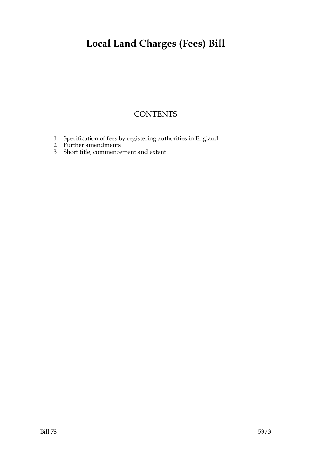## **CONTENTS**

- 1 Specification of fees by registering authorities in England
- 2 Further amendments
- 3 Short title, commencement and extent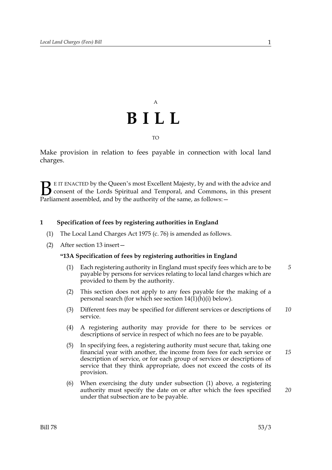# A **BILL** TO

Make provision in relation to fees payable in connection with local land charges.

E IT ENACTED by the Queen's most Excellent Majesty, by and with the advice and consent of the Lords Spiritual and Temporal, and Commons, in this present **B** E IT ENACTED by the Queen's most Excellent Majesty, by and with consent of the Lords Spiritual and Temporal, and Commons, Parliament assembled, and by the authority of the same, as follows:

#### **1 Specification of fees by registering authorities in England**

- (1) The Local Land Charges Act 1975 (c. 76) is amended as follows.
- (2) After section 13 insert—

#### **"13A Specification of fees by registering authorities in England**

- (1) Each registering authority in England must specify fees which are to be payable by persons for services relating to local land charges which are provided to them by the authority. *5*
- (2) This section does not apply to any fees payable for the making of a personal search (for which see section 14(1)(h)(i) below).
- (3) Different fees may be specified for different services or descriptions of service. *10*
- (4) A registering authority may provide for there to be services or descriptions of service in respect of which no fees are to be payable.
- (5) In specifying fees, a registering authority must secure that, taking one financial year with another, the income from fees for each service or description of service, or for each group of services or descriptions of service that they think appropriate, does not exceed the costs of its provision. *15*
- (6) When exercising the duty under subsection (1) above, a registering authority must specify the date on or after which the fees specified under that subsection are to be payable. *20*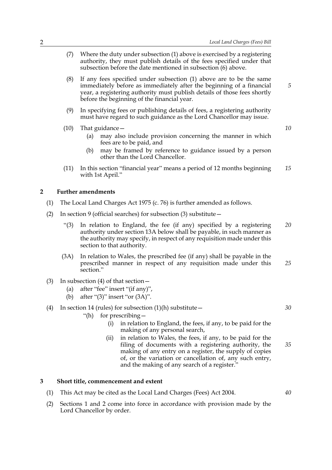- (7) Where the duty under subsection (1) above is exercised by a registering authority, they must publish details of the fees specified under that subsection before the date mentioned in subsection (6) above.
- (8) If any fees specified under subsection (1) above are to be the same immediately before as immediately after the beginning of a financial year, a registering authority must publish details of those fees shortly before the beginning of the financial year.
- (9) In specifying fees or publishing details of fees, a registering authority must have regard to such guidance as the Lord Chancellor may issue.
- (10) That guidance—
	- (a) may also include provision concerning the manner in which fees are to be paid, and
	- (b) may be framed by reference to guidance issued by a person other than the Lord Chancellor.
- (11) In this section "financial year" means a period of 12 months beginning with 1st April." *15*

#### **2 Further amendments**

- (1) The Local Land Charges Act 1975 (c. 76) is further amended as follows.
- (2) In section 9 (official searches) for subsection (3) substitute—
	- "(3) In relation to England, the fee (if any) specified by a registering authority under section 13A below shall be payable, in such manner as the authority may specify, in respect of any requisition made under this section to that authority. *20*
	- (3A) In relation to Wales, the prescribed fee (if any) shall be payable in the prescribed manner in respect of any requisition made under this section." *25*
- (3) In subsection (4) of that section—
	- (a) after "fee" insert "(if any)",
	- (b) after "(3)" insert "or (3A)".

#### (4) In section 14 (rules) for subsection  $(1)(h)$  substitute –

- "(h) for prescribing—
	- (i) in relation to England, the fees, if any, to be paid for the making of any personal search,
	- (ii) in relation to Wales, the fees, if any, to be paid for the filing of documents with a registering authority, the making of any entry on a register, the supply of copies of, or the variation or cancellation of, any such entry, and the making of any search of a register." *35*

#### **3 Short title, commencement and extent**

- (1) This Act may be cited as the Local Land Charges (Fees) Act 2004.
- (2) Sections 1 and 2 come into force in accordance with provision made by the Lord Chancellor by order.

*10*

*30*

*40*

*5*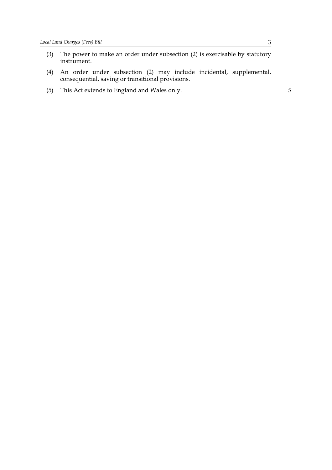- (3) The power to make an order under subsection (2) is exercisable by statutory instrument.
- (4) An order under subsection (2) may include incidental, supplemental, consequential, saving or transitional provisions.
- (5) This Act extends to England and Wales only. *5*